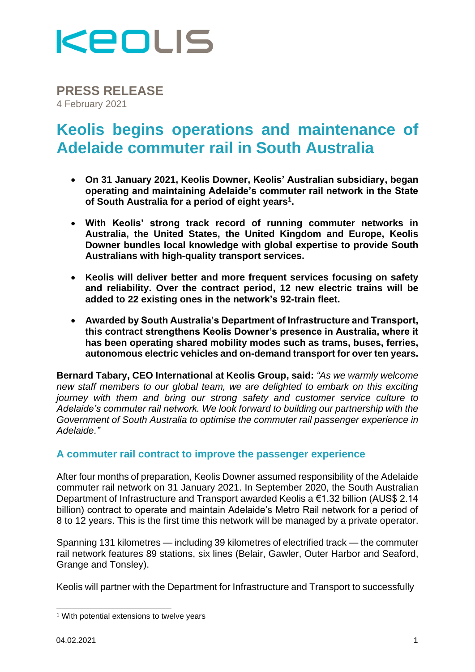

**PRESS RELEASE** 4 February 2021

## **Keolis begins operations and maintenance of Adelaide commuter rail in South Australia**

- **On 31 January 2021, Keolis Downer, Keolis' Australian subsidiary, began operating and maintaining Adelaide's commuter rail network in the State of South Australia for a period of eight years<sup>1</sup> .**
- **With Keolis' strong track record of running commuter networks in Australia, the United States, the United Kingdom and Europe, Keolis Downer bundles local knowledge with global expertise to provide South Australians with high-quality transport services.**
- **Keolis will deliver better and more frequent services focusing on safety and reliability. Over the contract period, 12 new electric trains will be added to 22 existing ones in the network's 92-train fleet.**
- **Awarded by South Australia's Department of Infrastructure and Transport, this contract strengthens Keolis Downer's presence in Australia, where it has been operating shared mobility modes such as trams, buses, ferries, autonomous electric vehicles and on-demand transport for over ten years.**

**Bernard Tabary, CEO International at Keolis Group, said:** *"As we warmly welcome new staff members to our global team, we are delighted to embark on this exciting journey with them and bring our strong safety and customer service culture to Adelaide's commuter rail network. We look forward to building our partnership with the Government of South Australia to optimise the commuter rail passenger experience in Adelaide."*

#### **A commuter rail contract to improve the passenger experience**

After four months of preparation, Keolis Downer assumed responsibility of the Adelaide commuter rail network on 31 January 2021. In September 2020, the South Australian Department of Infrastructure and Transport awarded Keolis a €1.32 billion (AUS\$ 2.14 billion) contract to operate and maintain Adelaide's Metro Rail network for a period of 8 to 12 years. This is the first time this network will be managed by a private operator.

Spanning 131 kilometres — including 39 kilometres of electrified track — the commuter rail network features 89 stations, six lines (Belair, Gawler, Outer Harbor and Seaford, Grange and Tonsley).

Keolis will partner with the Department for Infrastructure and Transport to successfully

<sup>1</sup> With potential extensions to twelve years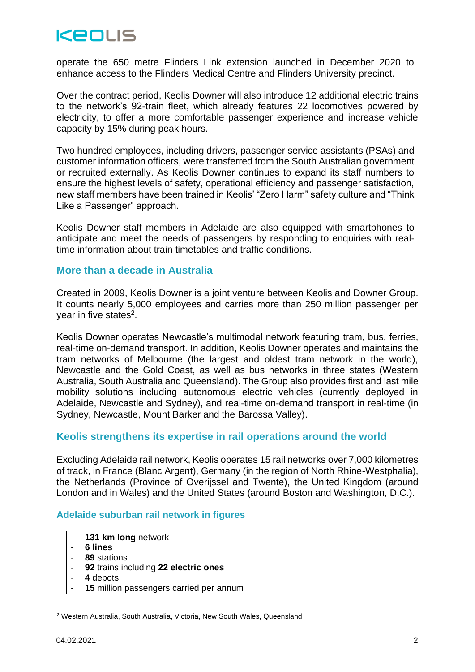# **KEOLIS**

operate the 650 metre Flinders Link extension launched in December 2020 to enhance access to the Flinders Medical Centre and Flinders University precinct.

Over the contract period, Keolis Downer will also introduce 12 additional electric trains to the network's 92-train fleet, which already features 22 locomotives powered by electricity, to offer a more comfortable passenger experience and increase vehicle capacity by 15% during peak hours.

Two hundred employees, including drivers, passenger service assistants (PSAs) and customer information officers, were transferred from the South Australian government or recruited externally. As Keolis Downer continues to expand its staff numbers to ensure the highest levels of safety, operational efficiency and passenger satisfaction, new staff members have been trained in Keolis' "Zero Harm" safety culture and "Think Like a Passenger" approach.

Keolis Downer staff members in Adelaide are also equipped with smartphones to anticipate and meet the needs of passengers by responding to enquiries with realtime information about train timetables and traffic conditions.

#### **More than a decade in Australia**

Created in 2009, Keolis Downer is a joint venture between Keolis and Downer Group. It counts nearly 5,000 employees and carries more than 250 million passenger per year in five states<sup>2</sup>.

Keolis Downer operates Newcastle's multimodal network featuring tram, bus, ferries, real-time on-demand transport. In addition, Keolis Downer operates and maintains the tram networks of Melbourne (the largest and oldest tram network in the world), Newcastle and the Gold Coast, as well as bus networks in three states (Western Australia, South Australia and Queensland). The Group also provides first and last mile mobility solutions including autonomous electric vehicles (currently deployed in Adelaide, Newcastle and Sydney), and real-time on-demand transport in real-time (in Sydney, Newcastle, Mount Barker and the Barossa Valley).

#### **Keolis strengthens its expertise in rail operations around the world**

Excluding Adelaide rail network, Keolis operates 15 rail networks over 7,000 kilometres of track, in France (Blanc Argent), Germany (in the region of North Rhine-Westphalia), the Netherlands (Province of Overijssel and Twente), the United Kingdom (around London and in Wales) and the United States (around Boston and Washington, D.C.).

#### **Adelaide suburban rail network in figures**

- 131 km long network
- **6 lines**
- **89** stations
- **92** trains including **22 electric ones**
- **4** depots
- **15** million passengers carried per annum

<sup>2</sup> Western Australia, South Australia, Victoria, New South Wales, Queensland